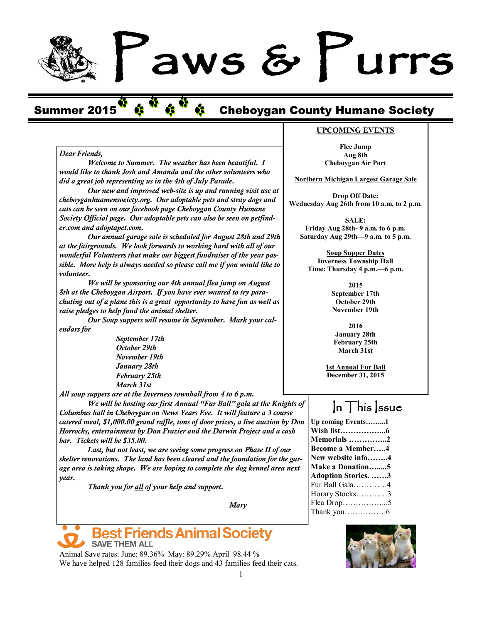# aws & Lurrs

# Summer 2015<sup>V</sup> \$ <sup>V</sup> \$ <sup>V</sup> \$ Cheboygan County Humane Society

### *Dear Friends,*

*Welcome to Summer. The weather has been beautiful. I would like to thank Josh and Amanda and the other volunteers who did a great job representing us in the 4th of July Parade.*

*Our new and improved web-site is up and running visit use at cheboyganhuamensoeicty.org. Our adoptable pets and stray dogs and cats can be seen on our facebook page Cheboygan County Humane Society Official page. Our adoptable pets can also be seen on petfinder.com and adoptapet.com.*

*Our annual garage sale is scheduled for August 28th and 29th at the fairgrounds. We look forwards to working hard with all of our wonderful Volunteers that make our biggest fundraiser of the year passible. More help is always needed so please call me if you would like to volunteer.* 

*We will be sponsoring our 4th annual flea jump on August 8th at the Cheboygan Airport. If you have ever wanted to try parachuting out of a plane this is a great opportunity to have fun as well as raise pledges to help fund the animal shelter.* 

*Our Soup suppers will resume in September. Mark your calendars for*

> *September 17th October 29th November 19th January 28th February 25th March 31st*

*All soup suppers are at the Inverness townhall from 4 to 6 p.m.*

*We will be hosting our first Annual "Fur Ball" gala at the Knights of Columbus hall in Cheboygan on News Years Eve. It will feature a 3 course catered meal, \$1,000.00 grand raffle, tons of door prizes, a live auction by Don Horrocks, entertainment by Dan Frazier and the Darwin Project and a cash bar. Tickets will be \$35.00.*

*Last, but not least, we are seeing some progress on Phase II of our shelter renovations. The land has been cleared and the foundation for the garage area is taking shape. We are hoping to complete the dog kennel area next year.*

*Thank you for all of your help and support.*

*Mary*



Animal Save rates: June: 89.36% May: 89.29% April 98.44 % We have helped 128 families feed their dogs and 43 families feed their cats.

#### **UPCOMING EVENTS**

**Flee Jump Aug 8th Cheboygan Air Port**

**Northern Michigan Largest Garage Sale**

**Drop Off Date: Wednesday Aug 26th from 10 a.m. to 2 p.m.**

**SALE: Friday Aug 28th- 9 a.m. to 6 p.m. Saturday Aug 29th—9 a.m. to 5 p.m.** 

**Soup Supper Dates Inverness Township Hall Time: Thursday 4 p.m.—6 p.m.**

> **2015 September 17th October 29th November 19th**

**2016 January 28th February 25th March 31st**

**1st Annual Fur Ball December 31, 2015**

# $\ln$  This *ssue*

**Up coming Events……...1 Wish list……………...6 Memorials …………...2 Become a Member…..4 New website info……..4 Make a Donation….....5 Adoption Stories. ……3** Fur Ball Gala………….4 Horary Stocks…………3 Flea Drop……………...5 Thank you…………….6

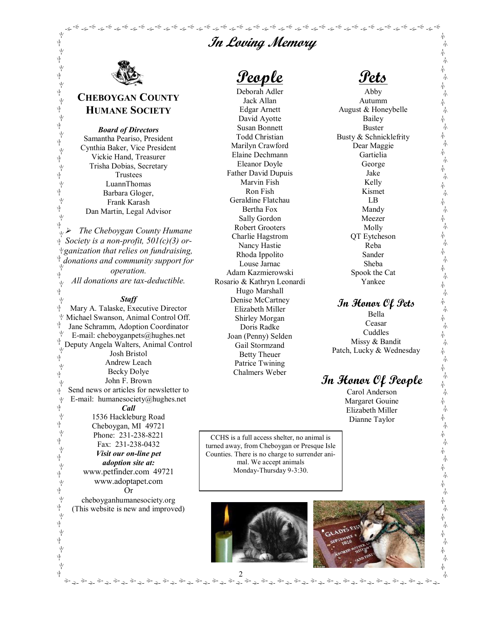# **In Loving Memory**

فالمحاجز فلينتفخ والمتبر والمتعاطر والمتعاطر والمتعاطر والمتعاطر والمتعاطر والمتعاطر والمتعاطر والمتعاطر والمتعاطر والمتعاطر والمتعاطر والمتعاطر والمتعاطر والمتعاطر والمتعاطر والمتعاطر والمتعاطر والمتعاطر والمتعاطر والمتعا



Ϋ́

本水本水系水本水系水系水系水系水

≁<br>ए

≁<br>ए

 $\sqrt{2}$ 

ψ ψ

# **CHEBOYGAN COUNTY HUMANE SOCIETY**

*Board of Directors* Samantha Peariso, President Cynthia Baker, Vice President Vickie Hand, Treasurer Trisha Dobias, Secretary Trustees LuannThomas Barbara Gloger, Frank Karash Dan Martin, Legal Advisor

ψ *The Cheboygan County Humane Society is a non-profit, 501(c)(3) organization that relies on fundraising, donations and community support for operation.*  ψ *All donations are tax-deductible.* ψ

#### *Staff*

ψ Mary A. Talaske, Executive Director Michael Swanson, Animal Control Off. Ŵ Jane Schramm, Adoption Coordinator E-mail: cheboyganpets@hughes.net Deputy Angela Walters, Animal Control Josh Bristol γý Andrew Leach ψ Becky Dolye ψ John F. Brown ψ Send news or articles for newsletter to ψ E-mail: humanesociety@hughes.net ψ ψ *Call*  Ϋ́ 1536 Hackleburg Road ψ Cheboygan, MI 49721 Ϋ́ Phone: 231-238-8221 Ϋ́ Fax: 231-238-0432 ।<br>ए *Visit our on-line pet*  ।<br>ए *adoption site at:* www.petfinder.com 49721 www.adoptapet.com ψ γ, Or ψ cheboyganhumanesociety.org ψ (This website is new and improved) Ϋ́ ψ \*<br>∱ ド<br>平

**People**

Deborah Adler Jack Allan Edgar Arnett David Ayotte Susan Bonnett Todd Christian Marilyn Crawford Elaine Dechmann Eleanor Doyle Father David Dupuis Marvin Fish Ron Fish Geraldine Flatchau Bertha Fox Sally Gordon Robert Grooters Charlie Hagstrom Nancy Hastie Rhoda Ippolito Louse Jarnac Adam Kazmierowski Rosario & Kathryn Leonardi Hugo Marshall Denise McCartney Elizabeth Miller Shirley Morgan Doris Radke Joan (Penny) Selden Gail Stormzand Betty Theuer Patrice Twining Chalmers Weber

**Pets**

木

本本

本本

本本

本本

不本

本本

本本

本本

本本

ネネネネネネネネネネネネネネ

一本一本

不本本

木木

赤木

本本

本本

本

本

本 )<br>小

赤 呆

赤

本

木

木 呆

木 木 木 木

呆

呆

呆

.<br>Т

-<br>小

Abby Autumm August & Honeybelle Bailey Buster Busty & Schnicklefrity Dear Maggie Gartielia George Jake Kelly Kismet LB Mandy Meezer Molly QT Eytcheson Reba Sander Sheba Spook the Cat Yankee

# **In Honor Of Pets**

Bella Ceasar Cuddles Missy & Bandit Patch, Lucky & Wednesday

# **In Honor Of People**

Carol Anderson Margaret Gouine Elizabeth Miller Dianne Taylor

CCHS is a full access shelter, no animal is turned away, from Cheboygan or Presque Isle Counties. There is no charge to surrender animal. We accept animals Monday-Thursday 9-3:30.



2



 $\Rightarrow_{\Rightarrow}$ 

È÷⇒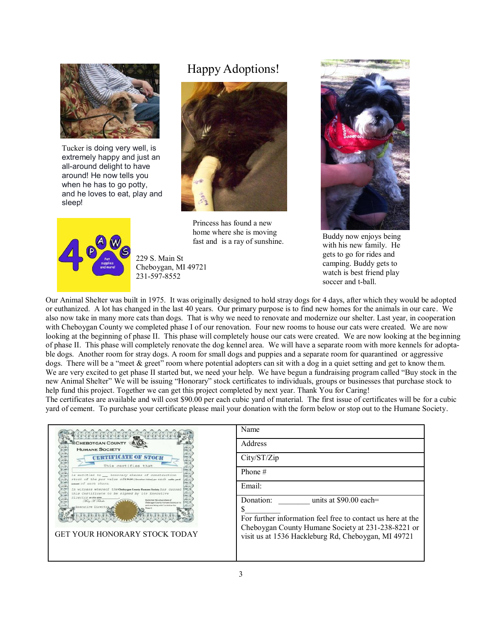

Tucker is doing very well, is extremely happy and just an all-around delight to have around! He now tells you when he has to go potty, and he loves to eat, play and sleep!



Happy Adoptions!



Princess has found a new home where she is moving fast and is a ray of sunshine.

229 S. Main St Cheboygan, MI 49721 231-597-8552



Buddy now enjoys being with his new family. He gets to go for rides and camping. Buddy gets to watch is best friend play soccer and t-ball.

Our Animal Shelter was built in 1975. It was originally designed to hold stray dogs for 4 days, after which they would be adopted or euthanized. A lot has changed in the last 40 years. Our primary purpose is to find new homes for the animals in our care. We also now take in many more cats than dogs. That is why we need to renovate and modernize our shelter. Last year, in cooperation with Cheboygan County we completed phase I of our renovation. Four new rooms to house our cats were created. We are now looking at the beginning of phase II. This phase will completely house our cats were created. We are now looking at the beginning of phase II. This phase will completely renovate the dog kennel area. We will have a separate room with more kennels for adoptable dogs. Another room for stray dogs. A room for small dogs and puppies and a separate room for quarantined or aggressive dogs. There will be a "meet & greet" room where potential adopters can sit with a dog in a quiet setting and get to know them. We are very excited to get phase II started but, we need your help. We have begun a fundraising program called "Buy stock in the new Animal Shelter" We will be issuing "Honorary" stock certificates to individuals, groups or businesses that purchase stock to help fund this project. Together we can get this project completed by next year. Thank You for Caring!

The certificates are available and will cost \$90.00 per each cubic yard of material. The first issue of certificates will be for a cubic yard of cement. To purchase your certificate please mail your donation with the form below or stop out to the Humane Society.



| Name                                                                                                      |
|-----------------------------------------------------------------------------------------------------------|
| Address                                                                                                   |
| City/ST/Zip                                                                                               |
| Phone $#$                                                                                                 |
| Email:                                                                                                    |
| Donation:<br>units at $$90.00$ each=<br>S<br>For further information feel free to contact us here at the  |
| Cheboygan County Humane Society at 231-238-8221 or<br>visit us at 1536 Hackleburg Rd, Cheboygan, MI 49721 |
|                                                                                                           |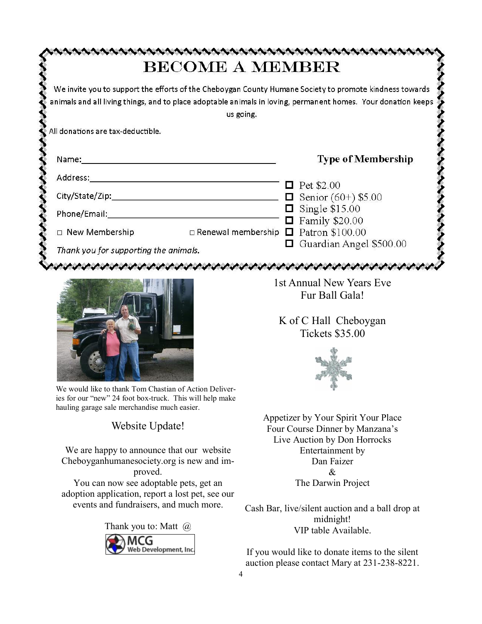|                                       |                                                  |                             | We invite you to support the efforts of the Cheboygan County Humane Society to promote kindness towards<br>animals and all living things, and to place adoptable animals in loving, permanent homes. Your donation keeps |
|---------------------------------------|--------------------------------------------------|-----------------------------|--------------------------------------------------------------------------------------------------------------------------------------------------------------------------------------------------------------------------|
|                                       | us going.                                        |                             |                                                                                                                                                                                                                          |
| All donations are tax-deductible.     |                                                  |                             |                                                                                                                                                                                                                          |
|                                       |                                                  |                             |                                                                                                                                                                                                                          |
| Name:                                 |                                                  |                             | <b>Type of Membership</b>                                                                                                                                                                                                |
| Address:                              |                                                  |                             |                                                                                                                                                                                                                          |
|                                       |                                                  | $\mathcal{L}_{\mathcal{A}}$ | Pet \$2.00                                                                                                                                                                                                               |
| City/State/Zip:                       |                                                  |                             | <b><math>\Box</math></b> Senior (60+) \$5.00                                                                                                                                                                             |
| Phone/Email:                          |                                                  |                             | $\Box$ Single \$15.00                                                                                                                                                                                                    |
|                                       |                                                  |                             | $\Box$ Family \$20.00                                                                                                                                                                                                    |
| $\Box$ New Membership                 | $\Box$ Renewal membership $\Box$ Patron \$100.00 |                             |                                                                                                                                                                                                                          |
| Thank you for supporting the animals. |                                                  |                             | Guardian Angel \$500.00                                                                                                                                                                                                  |



We would like to thank Tom Chastian of Action Deliveries for our "new" 24 foot box-truck. This will help make hauling garage sale merchandise much easier.

Website Update!

We are happy to announce that our website Cheboyganhumanesociety.org is new and improved.

You can now see adoptable pets, get an adoption application, report a lost pet, see our events and fundraisers, and much more.

> Thank you to: Matt @MCG Web Development, Inc.

1st Annual New Years Eve Fur Ball Gala!

K of C Hall Cheboygan Tickets \$35.00



Appetizer by Your Spirit Your Place Four Course Dinner by Manzana's Live Auction by Don Horrocks Entertainment by Dan Faizer & The Darwin Project

Cash Bar, live/silent auction and a ball drop at midnight! VIP table Available.

If you would like to donate items to the silent auction please contact Mary at 231-238-8221.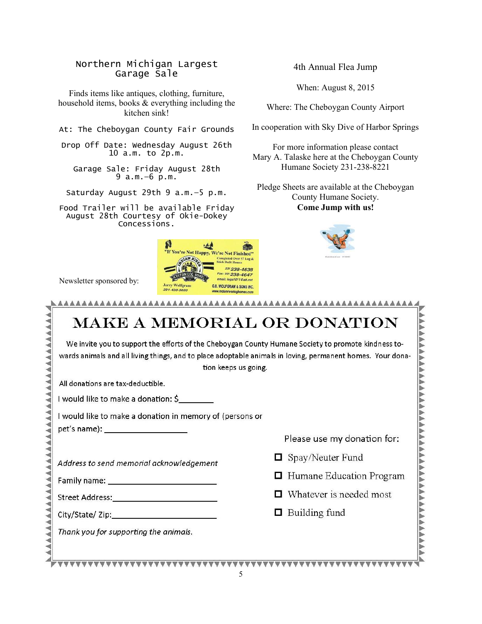#### Northern Michigan Largest Garage Sale

Finds items like antiques, clothing, furniture, household items, books & everything including the kitchen sink!

At: The Cheboygan County Fair Grounds

Drop Off Date: Wednesday August 26th 10 a.m. to 2p.m.

Garage Sale: Friday August 28th 9 a.m.—6 p.m.

Saturday August 29th 9 a.m.—5 p.m.

Food Trailer will be available Friday August 28th Courtesy of Okie-Dokey Concessions.



Newsletter sponsored by:

#### 4th Annual Flea Jump

When: August 8, 2015

Where: The Cheboygan County Airport

In cooperation with Sky Dive of Harbor Springs

For more information please contact Mary A. Talaske here at the Cheboygan County Humane Society 231-238-8221

Pledge Sheets are available at the Cheboygan County Humane Society. **Come Jump with us!**



| <b>MAKE A MEMORIAL OR DONATION</b>                                                                                                                                                                                                        |                             |  |  |  |
|-------------------------------------------------------------------------------------------------------------------------------------------------------------------------------------------------------------------------------------------|-----------------------------|--|--|--|
| We invite you to support the efforts of the Cheboygan County Humane Society to promote kindness to-<br>wards animals and all living things, and to place adoptable animals in loving, permanent homes. Your dona-<br>tion keeps us going. |                             |  |  |  |
| All donations are tax-deductible.                                                                                                                                                                                                         |                             |  |  |  |
| I would like to make a donation: $\zeta$ _________                                                                                                                                                                                        |                             |  |  |  |
| I would like to make a donation in memory of (persons or<br>pet's name): ______________________                                                                                                                                           |                             |  |  |  |
|                                                                                                                                                                                                                                           | Please use my donation for: |  |  |  |
| Address to send memorial acknowledgement                                                                                                                                                                                                  | $\Box$ Spay/Neuter Fund     |  |  |  |
| Family name: ______________________________                                                                                                                                                                                               | Humane Education Program    |  |  |  |
| Street Address: National Address: National Address: National Address: National Address                                                                                                                                                    | Whatever is needed most     |  |  |  |
| City/State/ Zip:                                                                                                                                                                                                                          | $\Box$ Building fund        |  |  |  |
| Thank you for supporting the animals.                                                                                                                                                                                                     |                             |  |  |  |
|                                                                                                                                                                                                                                           |                             |  |  |  |
|                                                                                                                                                                                                                                           |                             |  |  |  |

5